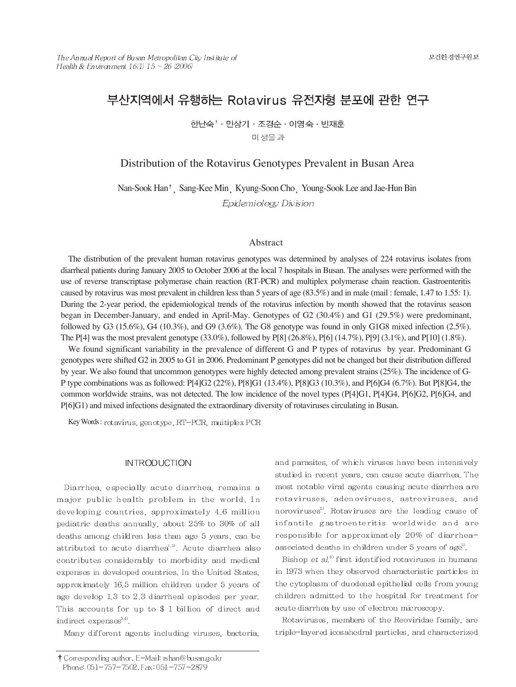# 부산지역에서 유행하는 Rotavirus 유전자형 분포에 관한 연구

한난숙<sup>↑</sup> · 민상기 · 조경순 · 이영숙 · 빈재훈 미 생물과

Distribution of the Rotavirus Genotypes Prevalent in Busan Area

Nan-Sook Han<sup>†</sup>, Sang-Kee Min, Kyung-Soon Cho, Young-Sook Lee and Jae-Hun Bin Epidemiology Division

#### Abstract

The distribution of the prevalent human rotavirus genotypes was determined by analyses of 224 rotavirus isolates from diarrheal patients during January 2005 to October 2006 at the local 7 hospitals in Busan. The analyses were performed with the use of reverse transcriptase polymerase chain reaction (RT-PCR) and multiplex polymerase chain reaction. Gastroenteritis caused by rotavirus was most prevalent in children less than 5 years of age (83.5%) and in male (mail : female, 1.47 to 1.55: 1). During the 2-year period, the epidemiological trends of the rotavirus infection by month showed that the rotavirus season began in December-January, and ended in April-May. Genotypes of G2 (30.4%) and G1 (29.5%) were predominant, followed by G3 (15.6%), G4 (10.3%), and G9 (3.6%). The G8 genotype was found in only G1G8 mixed infection (2.5%). The P[4] was the most prevalent genotype (33.0%), followed by P[8] (26.8%), P[6] (14.7%), P[9] (3.1%), and P[10] (1.8%).

We found significant variability in the prevalence of different G and P types of rotavirus by year. Predominant G genotypes were shifted G2 in 2005 to G1 in 2006. Predominant P genotypes did not be changed but their distribution differed by year. We also found that uncommon genotypes were highly detected among prevalent strains (25%). The incidence of G-P type combinations was as followed: P[4]G2 (22%), P[8]G1 (13.4%), P[8]G3 (10.3%), and P[6]G4 (6.7%). But P[8]G4, the common worldwide strains, was not detected. The low incidence of the novel types (P[4]G1, P[4]G4, P[6]G2, P[6]G4, and P[6]G1) and mixed infections designated the extraordinary diversity of rotaviruses circulating in Busan.

Key Words: rotavirus, genotype, RT-PCR, muitiplex PCR

#### **INTRODUCTION**

Diarrhea, especially acute diarrhea, remains a major public health problem in the world. In developing countries, approximately 4.6 million pediatric deaths annually, about 25% to 30% of all deaths among children less than age 5 years, can be attributed to acute diarrhea<sup>1,2</sup>. Acute diarrhea also contributes considerably to morbidity and medical expenses in developed countries. In the United States, approximately 16.5 million children under 5 years of age develop 1.3 to 2.3 diarrheal episodes per year. This accounts for up to  $$ 1$  billion of direct and indirect expenses<sup>3,4)</sup>.

Many different agents including viruses, bacteria,

Bishop et  $al$ <sup>6</sup> first identified rotaviruses in humans in 1973 when they observed characteristic particles in the cytoplasm of duodenal epithelial cells from young children admitted to the hospital for treatment for acute diarrhea by use of electron microscopy.

Rotaviruses, members of the Reoviridae family, are triple-layered icosahedral particles, and characterized

and parasites, of which viruses have been intensively studied in recent years, can cause acute diarrhea. The most notable viral agents causing acute diarrhea are rotaviruses, adenoviruses, astroviruses, and noroviruses<sup>5</sup>. Rotaviruses are the leading cause of infantile gastroenteritis worldwide and are responsible for approximately 20% of diarrheaassociated deaths in children under 5 years of age<sup>2</sup>.

<sup>†</sup> Corresponding author. E-Mail: rshan@busan.go.kr Phone: 051-757-7502, Fax: 051-757-2879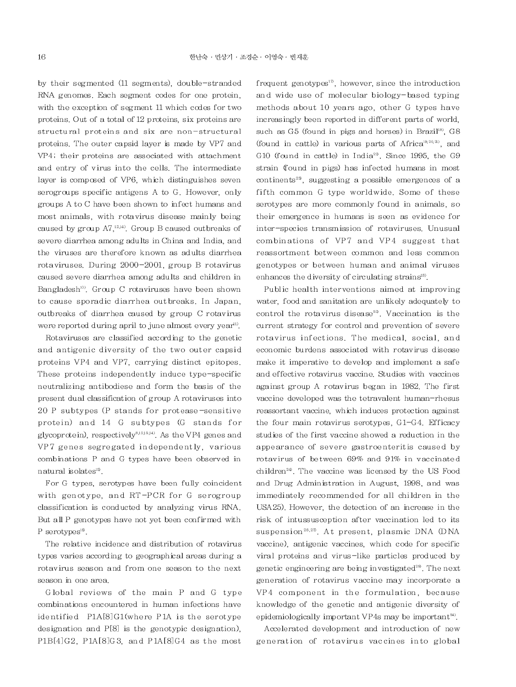by their segmented (11 segments), double-stranded RNA genomes. Each segment codes for one protein, with the exception of segment 11 which codes for two proteins. Out of a total of 12 proteins, six proteins are structural proteins and six are non-structural proteins. The outer capsid layer is made by VP7 and VP4; their proteins are associated with attachment and entry of virus into the cells. The intermediate layer is composed of VP6, which distinguishes seven serogroups specific antigens A to G. However, only groups A to C have been shown to infect humans and most animals, with rotavirus disease mainly being caused by group  $A7^{12,14}$ . Group B caused outbreaks of severe diarrhea among adults in China and India, and the viruses are therefore known as adults diarrhea rotaviruses. During 2000-2001, group B rotavirus caused severe diarrhea among adults and children in Bangladesh<sup>10</sup>. Group C rotaviruses have been shown to cause sporadic diarrhea outbreaks. In Japan, outbreaks of diarrhea caused by group C rotavirus were reported during april to june almost every year<sup>11</sup>.

Rotaviruses are classified according to the genetic and antigenic diversity of the two outer capsid proteins VP4 and VP7, carrying distinct epitopes. These proteins independently induce type-specific neutralizing antibodiese and form the basis of the present dual classification of group A rotaviruses into 20 P subtypes (P stands for protease-sensitive protein) and 14 G subtypes (G stands for glycoprotein), respectively<sup>8,12,13,14</sup>. As the VP4 genes and VP7 genes segregated independently, various combinations P and G types have been observed in natural isolates<sup>15</sup>.

For G types, serotypes have been fully coincident with genotype, and RT-PCR for G serogroup classification is conducted by analyzing virus RNA. But all P genotypes have not yet been confirmed with P serotypes<sup>16</sup>.

The relative incidence and distribution of rotavirus types varies according to geographical areas during a rotavirus season and from one season to the next season in one area.

Global reviews of the main P and G type combinations encountered in human infections have identified P1A[8]G1(where P1A is the serotype designation and P[8] is the genotypic designation), P1B[4]G2, P1A[8]G3, and P1A[8]G4 as the most

frequent genotypes<sup>17</sup>, however, since the introduction and wide use of molecular biology-based typing methods about 10 years ago, other G types have increasingly been reported in different parts of world. such as G5 (found in pigs and horses) in Brazil<sup>18)</sup>, G8 (found in cattle) in various parts of Africa<sup>19,20,2</sup>), and G10 (found in cattle) in India<sup>22</sup>. Since 1995, the G9 strain (found in pigs) has infected humans in most continents<sup>23</sup>, suggesting a possible emergences of a fifth common G type worldwide. Some of these serotypes are more commonly found in animals, so their emergence in humans is seen as evidence for inter-species transmission of rotaviruses. Unusual combinations of VP7 and VP4 suggest that reassortment between common and less common genotypes or between human and animal viruses enhances the diversity of circulating strains<sup>18</sup>.

Public health interventions aimed at improving water, food and sanitation are unlikely adequately to control the rotavirus disease<sup>52</sup>. Vaccination is the current strategy for control and prevention of severe rotavirus infections. The medical, social, and economic burdens associated with rotavirus disease make it imperative to develop and implement a safe and effective rotavirus vaccine. Studies with vaccines against group A rotavirus began in 1982. The first vaccine developed was the tetravalent human-rhesus reassortant vaccine, which induces protection against the four main rotavirus serotypes, G1-G4. Efficacy studies of the first vaccine showed a reduction in the appearance of severe gastroenteritis caused by rotavirus of between 69% and 91% in vaccinated children<sup>24</sup>. The vaccine was licensed by the US Food and Drug Administration in August, 1998, and was immediately recommended for all children in the USA25). However, the detection of an increase in the risk of intussus ception after vaccination led to its suspension<sup>26,27</sup>. At present, plasmic DNA (DNA vaccine), antigenic vaccines, which code for specific viral proteins and virus-like particles produced by genetic engineering are being investigated<sup>28</sup>. The next generation of rotavirus vaccine may incorporate a VP4 component in the formulation, because knowledge of the genetic and antigenic diversity of epidemiologically important VP4s may be important<sup>54)</sup>.

Accelerated development and introduction of new generation of rotavirus vaccines into global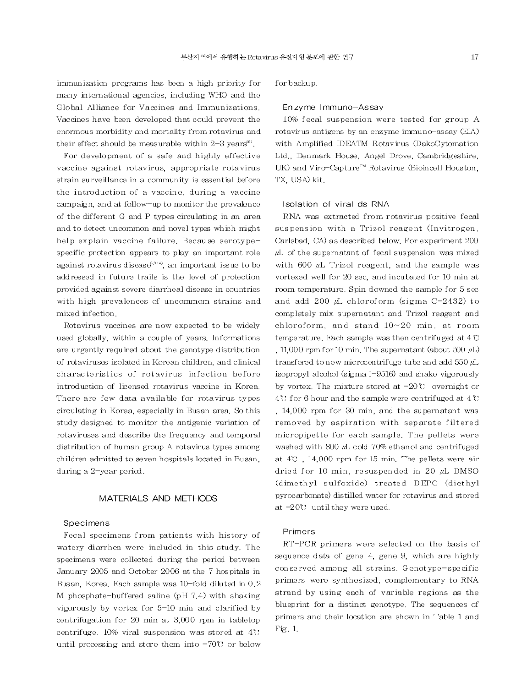immunization programs has been a high priority for many international agencies, including WHO and the Global Alliance for Vaccines and Immunizations. Vaccines have been developed that could prevent the enormous morbidity and mortality from rotavirus and their effect should be measurable within  $2-3$  years<sup> $\infty$ </sup>.

For development of a safe and highly effective vaccine against rotavirus, appropriate rotavirus strain surveillance in a community is essential before the introduction of a vaccine, during a vaccine campaign, and at follow-up to monitor the prevalence of the different G and P types circulating in an area and to detect uncommon and novel types which might help explain vaccine failure. Because serotypespecific protection appears to play an important role against rotavirus disease<sup>8,9,14</sup>, an important issue to be addressed in future trails is the level of protection provided against severe diarrheal disease in countries with high prevalences of uncommom strains and mixed infection.

Rotavirus vaccines are now expected to be widely used globally, within a couple of years. Informations are urgently required about the genotype distribution of rotaviruses isolated in Korean children, and clinical characteristics of rotavirus infection before introduction of licensed rotavirus vaccine in Korea. There are few data available for rotavirus types circulating in Korea, especially in Busan area. So this study designed to monitor the antigenic variation of rotaviruses and describe the frequency and temporal distribution of human group A rotavirus types among children admitted to seven hospitals located in Busan, during a 2-year period.

### MATERIALS AND METHODS

### Specimens

Fecal specimens from patients with history of watery diarrhea were included in this study. The specimens were collected during the period between January 2005 and October 2006 at the 7 hospitals in Busan, Korea, Each sample was 10-fold diluted in 0.2 M phosphate-buffered saline (pH 7.4) with shaking vigorously by vortex for 5-10 min and clarified by centrifugation for 20 min at 3,000 rpm in tabletop centrifuge. 10% viral suspension was stored at 4°C until processing and store them into  $-70^{\circ}$  or below for backup.

#### Enzyme Immuno-Assay

10% fecal suspension were tested for group A rotavirus antigens by an enzyme immuno-assay (EIA) with Amplified IDEATM Rotavirus (DakoCytomation Ltd., Denmark House, Angel Drove, Cambridgeshire, UK) and Viro-Capture™ Rotavirus (Bioincell Houston, TX, USA) kit.

#### Isolation of viral ds RNA

RNA was extracted from rotavirus positive fecal suspension with a Trizol reagent (Invitrogen, Carlsbad, CA) as described below. For experiment 200  $\mu$ L of the supernatant of fecal suspension was mixed with 600  $\mu$ L Trizol reagent, and the sample was vortexed well for 20 sec, and incubated for 10 min at room temperature. Spin downed the sample for 5 sec and add 200  $\mu$ L chloroform (sigma C-2432) to completely mix supernatant and Trizol reagent and chloroform, and stand  $10 \sim 20$  min, at room temperature. Each sample was then centrifuged at 4°C , 11,000 rpm for 10 min. The supernatant (about 500  $\mu$ L) transfered to new microcentrifuge tube and add 550  $\mu$ L isopropyl alcohol (sigma I-9516) and shake vigorously by vortex. The mixture stored at  $-20^{\circ}$  overnight or  $4\degree$  for 6 hour and the sample were centrifuged at  $4\degree$ C , 14,000 rpm for 30 min, and the supernatant was removed by aspiration with separate filtered micropipette for each sample. The pellets were washed with 800  $\mu$ L cold 70% ethanol and centrifuged at  $4^{\circ}$ ,  $14,000$  rpm for 15 min. The pellets were air dried for 10 min, resuspended in 20  $\mu$ L DMSO (dimethyl sulfoxide) treated DEPC (diethyl pyrocarbonate) distilled water for rotavirus and stored at  $-20^{\circ}$  until they were used.

### Primers

RT-PCR primers were selected on the basis of sequence data of gene 4, gene 9, which are highly conserved among all strains. Genotype-specific primers were synthesized, complementary to RNA strand by using each of variable regions as the blueprint for a distinct genotype. The sequences of primers and their location are shown in Table 1 and Fig. 1.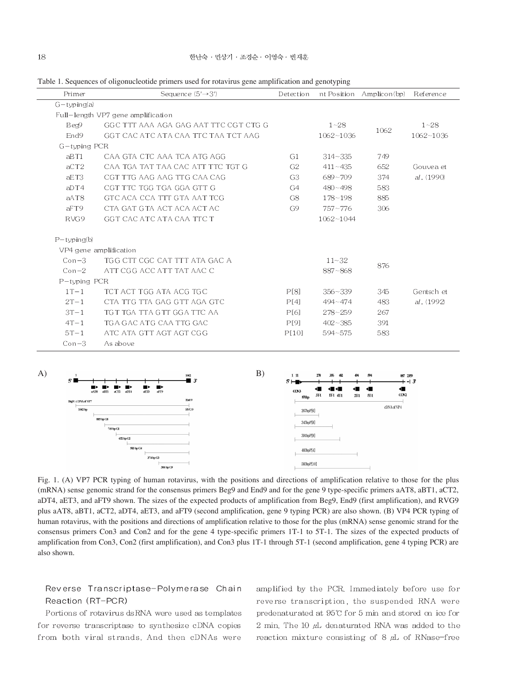| Table 1. Sequences of oligonucleotide primers used for rotavirus gene amplification and genotyping |  |
|----------------------------------------------------------------------------------------------------|--|
|----------------------------------------------------------------------------------------------------|--|

| Primer           | Sequence $(5' \rightarrow 3')$        | Detection      |             | nt Position Amplicon(bp) | Reference  |
|------------------|---------------------------------------|----------------|-------------|--------------------------|------------|
| $G$ -typing(a)   |                                       |                |             |                          |            |
|                  | Full-length VP7 gene amplification    |                |             |                          |            |
| Beg9             | GGC TTT AAA AGA GAG AAT TTC CGT CTG G |                | $1 - 28$    | 1062                     | $1 - 28$   |
| End <sub>9</sub> | GGT CAC ATC ATA CAA TTC TAA TCT AAG   |                | 1062~1036   |                          | 1062~1036  |
| $G$ -typing PCR  |                                       |                |             |                          |            |
| aBT1             | CAA GTA CTC AAA TCA ATG AGG           | G1             | $314 - 335$ | 749                      |            |
| aCT2             | CAA TGA TAT TAA CAC ATT TTC TGT G     | G <sub>2</sub> | $411 - 435$ | 652                      | Gouvea et  |
| aET3             | CGT TTG AAG AAG TTG CAA CAG           | G <sub>3</sub> | $689 - 709$ | 374                      | al. (1990) |
| aDT4             | CGT TTC TGG TGA GGA GTT G             | G4             | $480 - 498$ | 583                      |            |
| aAT8             | GTC ACA CCA TTT GTA AAT TCG           | G8             | $178 - 198$ | 885                      |            |
| aFT9             | CTA GAT GTA ACT ACA ACT AC            | G <sub>9</sub> | $757 - 776$ | 306                      |            |
| RVG9             | GGT CAC ATC ATA CAA TTC T             |                | 1062~1044   |                          |            |
| $P$ -typing(b)   |                                       |                |             |                          |            |
|                  | VP4 gene amplification                |                |             |                          |            |
| $Con-3$          | TGG CTT CGC CAT TTT ATA GAC A         |                | $11 - 32$   |                          |            |
| $Con-2$          | ATT CGG ACC ATT TAT AAC C             |                | $887 - 868$ | 876                      |            |
| P-typing PCR     |                                       |                |             |                          |            |
| $1T-1$           | TCT ACT TGG ATA ACG TGC               | P[8]           | $356 - 339$ | 345                      | Gentsch et |
| $2T-1$           | CTA TTG TTA GAG GTT AGA GTC           | P[4]           | $494 - 474$ | 483                      | al. (1992) |
| $3T-1$           | TGT TGA TTA GTT GGA TTC AA            | P[6]           | $278 - 259$ | 267                      |            |
| $4T-1$           | TGA GAC ATG CAA TTG GAC               | P[9]           | $402 - 385$ | 391                      |            |
| $5T-1$           | ATC ATA GTT AGT AGT CGG               | P[10]          | $594 - 575$ | 583                      |            |
| $Con-3$          | As above                              |                |             |                          |            |
|                  |                                       |                |             |                          |            |



Fig. 1. (A) VP7 PCR typing of human rotavirus, with the positions and directions of amplification relative to those for the plus (mRNA) sense genomic strand for the consensus primers Beg9 and End9 and for the gene 9 type-specific primers aAT8, aBT1, aCT2, aDT4, aET3, and aFT9 shown. The sizes of the expected products of amplification from Beg9, End9 (first amplification), and RVG9 plus aAT8, aBT1, aCT2, aDT4, aET3, and aFT9 (second amplification, gene 9 typing PCR) are also shown. (B) VP4 PCR typing of human rotavirus, with the positions and directions of amplification relative to those for the plus (mRNA) sense genomic strand for the consensus primers Con3 and Con2 and for the gene 4 type-specific primers 1T-1 to 5T-1. The sizes of the expected products of amplification from Con3, Con2 (first amplification), and Con3 plus 1T-1 through 5T-1 (second amplification, gene 4 typing PCR) are also shown.

### Reverse Transcriptase-Polymerase Chain Reaction (RT-PCR)

Portions of rotavirus dsRNA were used as templates for reverse transcriptase to synthesize cDNA copies from both viral strands. And then cDNAs were

amplified by the PCR. Immediately before use for reverse transcription, the suspended RNA were predenaturated at 95°C for 5 min and stored on ice for 2 min. The 10  $\mu$ L denaturated RNA was added to the reaction mixture consisting of  $8 \mu L$  of RNase-free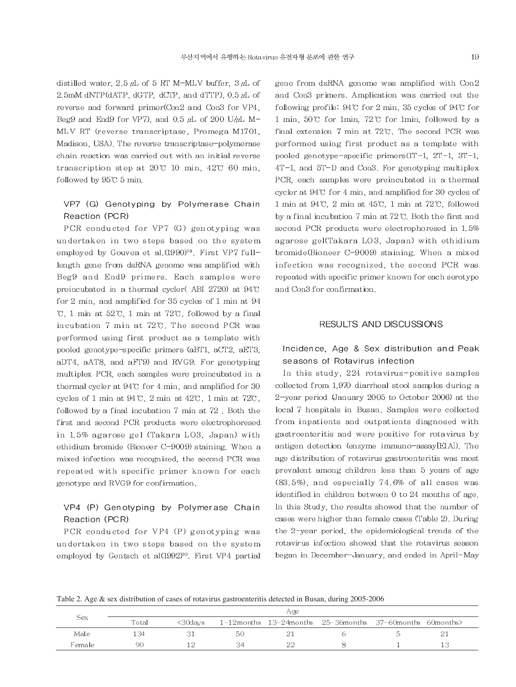distilled water, 2.5  $\mu$ L of 5 RT M-MLV buffer, 3  $\mu$ L of 2.5mM dNTP(dATP, dGTP, dCTP, and dTTP),  $0.5 \mu L$  of reverse and forward primer(Con2 and Con3 for VP4, Beg9 and End9 for VP7), and 0.5  $\mu$ L of 200 U/ $\mu$ L M-MLV RT (reverse transcriptase, Promega M1701, Madison, USA). The reverse transcriptase-polymerase chain reaction was carried out with an initial reverse transcription step at  $20\degree$  10 min, 42 $\degree$  60 min, followed by 95°C 5 min.

## VP7 (G) Genotyping by Polymerase Chain Reaction (PCR)

PCR conducted for VP7 (G) genotyping was undertaken in two steps based on the system employed by Gouvea et al. (1990)<sup>29</sup>. First VP7 fulllength gene from dsRNA genome was amplified with Beg9 and End9 primers. Each samples were preincubated in a thermal cycler(ABI 2720) at 94°C for 2 min, and amplified for 35 cycles of 1 min at 94  $\mathcal{C}$ , 1 min at 52 $\mathcal{C}$ , 1 min at 72 $\mathcal{C}$ , followed by a final incubation 7 min at 72°C. The second PCR was performed using first product as a template with pooled genotype-specific primers (aBT1, aCT2, aET3, aDT4, aAT8, and aFT9) and RVG9. For genotyping multiplex PCR, each samples were preincubated in a thermal cycler at 94°C for 4 min, and amplified for 30 cycles of 1 min at 94 °C, 2 min at 42°C, 1 min at 72°C, followed by a final incubation 7 min at 72. Both the first and second PCR products were electrophoresed in 1.5% agarose gel (Takara LO3, Japan) with ethidium bromide (Bioneer C-9009) staining. When a mixed infection was recognized, the second PCR was repeated with specific primer known for each genotype and RVG9 for confirmation.

# VP4 (P) Genotyping by Polymerase Chain Reaction (PCR)

PCR conducted for VP4 (P) genotyping was undertaken in two steps based on the system employed by Gentsch et al(1992)<sup>30</sup>. First VP4 partial gene from dsRNA genome was amplified with Con2 and Con3 primers. Amplication was carried out the following profile: 94°C for 2 min, 35 cycles of 94°C for 1 min, 50°C for 1min, 72°C for 1min, followed by a final extension 7 min at 72°C. The second PCR was performed using first product as a template with pooled genotype-specific primers(1T-1, 2T-1, 3T-1,  $4T-1$ , and  $5T-1$ ) and Con3. For genotyping multiplex PCR, each samples were preincubated in a thermal cycler at 94°C for 4 min, and amplified for 30 cycles of 1 min at 94°C, 2 min at 45°C, 1 min at 72°C, followed by a final incubation 7 min at 72°C. Both the first and second PCR products were electrophoresed in 1.5% agarose gel(Takara LO3, Japan) with ethidium bromide(Bioneer C-9009) staining. When a mixed infection was recognized, the second PCR was repeated with specific primer known for each serotype and Con3 for confirmation.

### RESULTS AND DISCUSSIONS

# Incidence, Age & Sex distribution and Peak seasons of Rotavirus infection

In this study, 224 rotavirus-positive samples collected from 1,970 diarrheal stool samples during a 2-year period (January 2005 to October 2006) at the local 7 hospitals in Busan. Samples were collected from inpatients and outpatients diagnosed with gastroenteritis and were positive for rotavirus by antigen detection (enzyme immuno-assay[EIA]). The age distribution of rotavirus gastroenteritis was most prevalent among children less than 5 years of age  $(83.5\%)$ , and especially 74.6% of all cases was identified in children between 0 to 24 months of age. In this Study, the results showed that the number of cases were higher than female cases (Table 2). During the 2-year period, the epidemiological trends of the rotavirus infection showed that the rotavirus season began in December-January, and ended in April-May

Table 2. Age & sex distribution of cases of rotavirus gastroenteritis detected in Busan, during 2005-2006

|        |       |         |    | Age |                                                                      |  |
|--------|-------|---------|----|-----|----------------------------------------------------------------------|--|
| Sex    | Total | <30davs |    |     | $1$ ~12months $13$ ~24months $25$ ~36months $37$ ~60months 60months> |  |
| Male   | -34   |         | 50 |     |                                                                      |  |
| Female | ۹ſ    |         |    | つく  |                                                                      |  |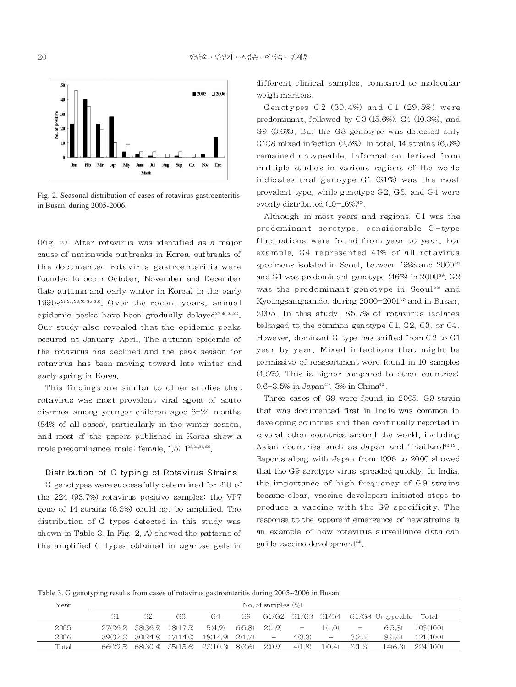

Fig. 2. Seasonal distribution of cases of rotavirus gastroenteritis in Busan, during 2005-2006.

(Fig. 2). After rotavirus was identified as a major cause of nationwide outbreaks in Korea, outbreaks of the documented rotavirus gastroenteritis were founded to occur October. November and December (late autumn and early winter in Korea) in the early 1990s<sup>31,32,33,34,35,38)</sup>. Over the recent years, annual epidemic peaks have been gradually delayed<sup>37, 20, 51)</sup>. Our study also revealed that the epidemic peaks occured at January-April. The autumn epidemic of the rotavirus has declined and the peak season for rotavirus has been moving toward late winter and early spring in Korea.

This findings are similar to other studies that rotavirus was most prevalent viral agent of acute diarrhea among younger children aged 6-24 months (84% of all cases), particularly in the winter season, and most of the papers published in Korea show a male predominance; male: female, 1.5: 133,34,35,39).

#### Distribution of G typing of Rotavirus Strains

G genotypes were successfully determined for 210 of the 224 (93.7%) rotavirus positive samples: the VP7 gene of 14 strains  $(6.3%)$  could not be amplified. The distribution of G types detected in this study was shown in Table 3. In Fig. 2, A) showed the patterns of the amplified G types obtained in agarose gels in

different clinical samples, compared to molecular weigh markers.

Genotypes G2 (30.4%) and G1 (29.5%) were predominant, followed by G3 (15.6%), G4 (10.3%), and G9 (3.6%). But the G8 genotype was detected only G1G8 mixed infection (2.5%). In total 14 strains (6.3%) remained untypeable. Information derived from multiple studies in various regions of the world indicates that genoype G1 (61%) was the most prevalent type, while genotype G2, G3, and G4 were evenly distributed  $(10-16\%)^{40}$ .

Although in most years and regions, G1 was the predominant serotype, considerable G-type fluctuations were found from year to year. For example. G4 represented 41% of all rotavirus specimens isolated in Seoul, between 1998 and 2000<sup>38</sup> and G1 was predominant genotype (46%) in 2000<sup>39</sup>. G2 was the predominant genotype in Seoul<sup>55)</sup> and Kyoungsangnamdo, during  $2000-2001^{47}$  and in Busan, 2005. In this study, 85.7% of rotavirus isolates belonged to the common genotype G1, G2, G3, or G4. However, dominant G type has shifted from G2 to G1 year by year. Mixed infections that might be permissive of reassortment were found in 10 samples  $(4.5\%)$ . This is higher compared to other countries: 0.6-3.5% in Japan<sup>41)</sup>, 3% in China<sup>42</sup>.

Three cases of G9 were found in 2005. G9 strain that was documented first in India was common in developing countries and then continually reported in several other countries around the world, including Asian countries such as Japan and Thailand<sup>42,43</sup>. Reports along with Japan from 1996 to 2000 showed that the G9 serotype virus spreaded quickly. In India, the importance of high frequency of G9 strains became clear, vaccine developers initiated steps to produce a vaccine with the G9 specificity. The response to the apparent emergence of new strains is an example of how rotavirus surveillance data can guide vaccine development<sup>44</sup>.

Table 3. G genotyping results from cases of rotavirus gastroenteritis during 2005~2006 in Busan

| Y ear |          | No.of samples (%)          |                   |                                                      |        |                          |        |                                 |                   |                                    |           |
|-------|----------|----------------------------|-------------------|------------------------------------------------------|--------|--------------------------|--------|---------------------------------|-------------------|------------------------------------|-----------|
|       | G1       | G2                         | G <sub>3</sub>    | G4                                                   | G9.    |                          |        |                                 |                   | G1/G2 G1/G3 G1/G4 G1/G8 Untypeable | Total     |
| 2005  |          | 27(26.2) 38(36.9) 18(17.5) |                   | 5(4.9)                                               | 6(5.8) | 20.9                     | $-$ .  | 1 (1.0)                         | $\qquad \qquad -$ | 6(5.8)                             | 103(100)  |
| 2006  |          |                            |                   | $39(32.2)$ $30(24.8)$ $17(14.0)$ $18(14.9)$ $2(1.7)$ |        | $\overline{\phantom{m}}$ | 4(3.3) | $\hspace{0.1mm}-\hspace{0.1mm}$ | 3(2.5)            | 8(6.6)                             | 121 (100) |
| Total | 66(29.5) |                            | 68(30.4) 35(15.6) | 23(10.3)                                             | 8(3.6) | 2(0.9)                   | 4(1.8) | l (0.4)                         | 3(1.3)            | l 4(6.3)                           | -224(100) |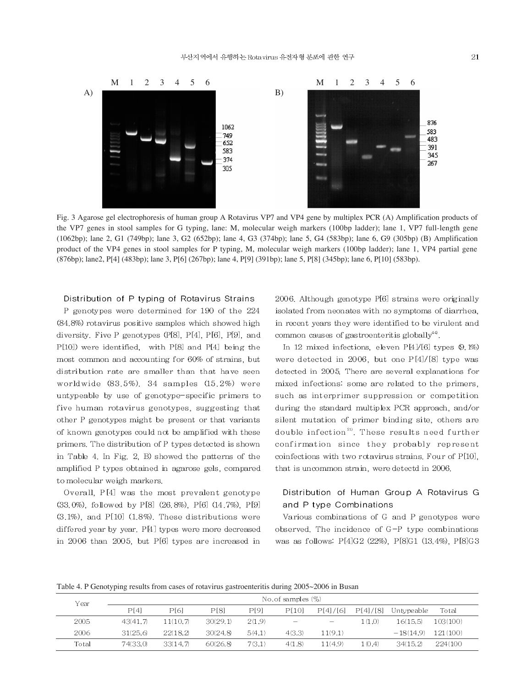

Fig. 3 Agarose gel electrophoresis of human group A Rotavirus VP7 and VP4 gene by multiplex PCR (A) Amplification products of the VP7 genes in stool samples for G typing, lane: M, molecular weigh markers (100bp ladder); lane 1, VP7 full-length gene (1062bp); lane 2, G1 (749bp); lane 3, G2 (652bp); lane 4, G3 (374bp); lane 5, G4 (583bp); lane 6, G9 (305bp) (B) Amplification product of the VP4 genes in stool samples for P typing, M, molecular weigh markers (100bp ladder); lane 1, VP4 partial gene (876bp); lane 2, P[4] (483bp); lane 3, P[6] (267bp); lane 4, P[9] (391bp); lane 5, P[8] (345bp); lane 6, P[10] (583bp).

#### Distribution of P typing of Rotavirus Strains

P genotypes were determined for 190 of the 224 (84.8%) rotavirus positive samples which showed high diversity. Five P genotypes (P[8], P[4], P[6], P[9], and P[10]) were identified, with P[8] and P[4] being the most common and accounting for 60% of strains, but distribution rate are smaller than that have seen worldwide  $(83.5\%)$ . 34 samples  $(15.2\%)$  were untypeable by use of genotype-specific primers to five human rotavirus genotypes, suggesting that other P genotypes might be present or that variants of known genotypes could not be amplified with these primers. The distribution of P types detected is shown in Table 4. In Fig. 2, B) showed the patterns of the amplified P types obtained in agarose gels, compared to molecular weigh markers.

Overall, P[4] was the most prevalent genotype (33.0%), followed by P[8] (26.8%), P[6] (14.7%), P[9]  $(3.1\%)$ , and P[10]  $(1.8\%)$ . These distributions were differed year by year.  $P[4]$  types were more decreased in 2006 than 2005, but P[6] types are increased in 2006. Although genotype P[6] strains were originally isolated from neonates with no symptoms of diarrhea, in recent years they were identified to be virulent and common causes of gastroenteritis globally<sup>44</sup>.

In 12 mixed infections, eleven  $P[4]/[6]$  types  $(9.1%)$ were detected in 2006, but one P[4]/[8] type was detected in 2005. There are several explanations for mixed infections: some are related to the primers, such as interprimer suppression or competition during the standard multiplex PCR approach, and/or silent mutation of primer binding site, others are double infection<sup>21)</sup>. These results need further confirmation since they probably represent coinfections with two rotavirus strains. Four of P[10]. that is uncommon strain, were detectd in 2006.

# Distribution of Human Group A Rotavirus G and P type Combinations

Various combinations of G and P genotypes were observed. The incidence of  $G-P$  type combinations was as follows: P[4]G2 (22%), P[8]G1 (13.4%), P[8]G3

Table 4. P Genotyping results from cases of rotavirus gastroenteritis during 2005~2006 in Busan

| Year  | No. of samples (%) |          |          |        |                          |                                 |         |                                  |          |  |
|-------|--------------------|----------|----------|--------|--------------------------|---------------------------------|---------|----------------------------------|----------|--|
|       | PI41               | P[6]     | P[8]     | PI91   | P[10]                    |                                 |         | $P[4]/[6]$ $P[4]/[8]$ Untypeable | Total    |  |
| 2005  | 43(41.7)           | 11(10.7) | 30(29.1) | 2(1.9) | $\overline{\phantom{m}}$ | $\hspace{0.1mm}-\hspace{0.1mm}$ | 1(1.0)  | 16(15.5)                         | 103(100) |  |
| 2006  | 31(25.6)           | 22(18.2) | 30(24.8) | 5(4.1) | 4(3.3)                   | 11(9.1)                         |         | $-18(14.9)$                      | 121(100) |  |
| Total | 74(33.0)           | 33(147)  | 60(26.8) | 7(3.1) | 4(1.8)                   | 11(49)                          | 1 (0.4) | 34(15.2)                         | 224(100) |  |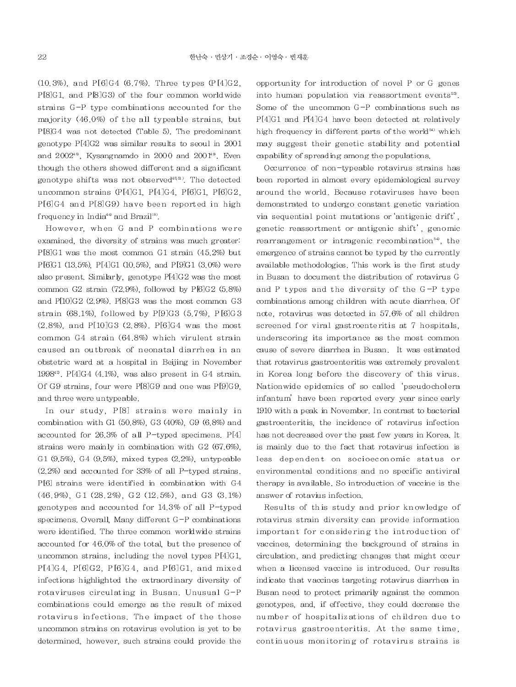$(10.3\%)$ , and P[6]G4  $(6.7\%)$ . Three types (P[4]G2, P[8]G1, and P[8]G3) of the four common worldwide strains G-P type combinations accounted for the majority (46.0%) of the all typeable strains, but P[8]G4 was not detected (Table 5). The predominant genotype  $P[4]G2$  was similar results to seoul in 2001 and  $2002^{48}$ . Kysangnamdo in 2000 and  $2001^{49}$ . Even though the others showed different and a significant genotype shifts was not observed<sup>4851</sup>. The detected uncommon strains (P[4]G1, P[4]G4, P[6]G1, P[6]G2, P[6]G4 and P[8]G9) have been reported in high frequency in India<sup>44</sup> and Brazil<sup>18</sup>.

However, when G and P combinations were examined, the diversity of strains was much greater.  $P[8]G1$  was the most common G1 strain  $(45.2%)$  but P[6]G1 (13.5%), P[4]G1 (10.5%), and P[9]G1 (3.0%) were also present. Similarly, genotype P[4]G2 was the most common G2 strain  $(72.9\%)$ , followed by P[6]G2  $(5.8\%)$ and P[10]G2 (2.9%). P[8]G3 was the most common G3 strain (68.1%), followed by P[9]G3 (5.7%), P[6]G3  $(2.8\%)$  and P[10]G3  $(2.8\%)$ . P[6]G4 was the most common G4 strain (64.8%) which virulent strain caused an outbreak of neonatal diarrhea in an obstetric ward at a hospital in Beijing in November 1998<sup>42</sup>. P[4]G4 (4.1%), was also present in G4 strain. Of G9 strains, four were P[8]G9 and one was P[9]G9, and three were untypeable.

In our study, P[8] strains were mainly in combination with G1 (50.8%), G3 (40%), G9 (6.8%) and accounted for 26.3% of all P-typed specimens. P[4] strains were mainly in combination with  $G2(67,6%)$ . G1 (9.5%), G4 (9.5%), mixed types (2.2%), untypeable  $(2.2\%)$  and accounted for 33% of all P-typed strains. P[6] strains were identified in combination with G4  $(46.9\%)$ , G1  $(28.2\%)$ , G2  $(12.5\%)$ , and G3  $(3.1\%)$ genotypes and accounted for 14.3% of all P-typed specimens. Overall, Many different G-P combinations were identified. The three common worldwide strains accounted for 46.0% of the total, but the presence of uncommon strains, including the novel types P[4]G1, P[4]G4, P[6]G2, P[6]G4, and P[6]G1, and mixed infections highlighted the extraordinary diversity of rotaviruses circulating in Busan. Unusual G-P combinations could emerge as the result of mixed rotavirus infections. The impact of the those uncommon strains on rotavirus evolution is yet to be determined, however, such strains could provide the

opportunity for introduction of novel P or G genes into human population via reassortment events<sup>53</sup>. Some of the uncommon G-P combinations such as P[4]G1 and P[4]G4 have been detected at relatively high frequency in different parts of the world<sup>51)</sup> which may suggest their genetic stability and potential capability of spreading among the populations.

Occurrence of non-typeable rotavirus strains has been reported in almost every epidemiological survey around the world. Because rotaviruses have been demonstrated to undergo constant genetic variation via sequential point mutations or 'antigenic drift', genetic reassortment or antigenic shift', genomic rearrangement or intragenic recombination<sup>54</sup>, the emergence of strains cannot be typed by the currently available methodologies. This work is the first study in Busan to document the distribution of rotavirus G and P types and the diversity of the G-P type combinations among children with acute diarrhea. Of note, rotavirus was detected in 57.6% of all children screened for viral gastroenteritis at 7 hospitals. underscoring its importance as the most common cause of severe diarrhea in Busan. It was estimated that rotavirus gastroenteritis was extremely prevalent in Korea long before the discovery of this virus. Nationwide epidemics of so called 'pseudocholera infantum' have been reported every year since early 1910 with a peak in November. In contrast to bacterial gastroenteritis, the incidence of rotavirus infection has not decreased over the past few years in Korea. It is mainly due to the fact that rotavirus infection is less dependent on socioeconomic status or environmental conditions and no specific antiviral therapy is available. So introduction of vaccine is the answer of rotavius infection.

Results of this study and prior knowledge of rotavirus strain diversity can provide information important for considering the introduction of vaccines, determining the background of strains in circulation, and predicting changes that might occur when a licensed vaccine is introduced. Our results indicate that vaccines targeting rotavirus diarrhea in Busan need to protect primarily against the common genotypes, and, if effective, they could decrease the number of hospitalizations of children due to rotavirus gastroenteritis. At the same time, continuous monitoring of rotavirus strains is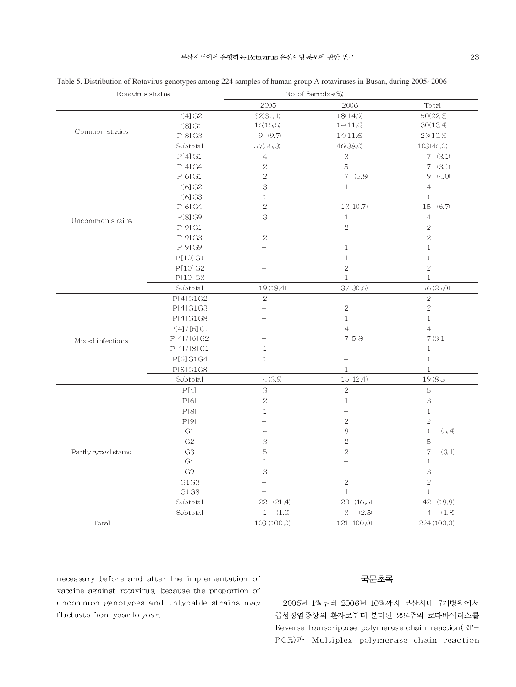| Rotavirus strains   |                | No of Samples(%)      |                          |                                   |
|---------------------|----------------|-----------------------|--------------------------|-----------------------------------|
|                     |                | 2005                  | 2006                     | Total                             |
|                     | P[4] G2        | 32(31.1)              | 18(14.9)                 | 50(22.3)                          |
|                     | P[8]G1         | 16(15.5)              | 14(11.6)                 | 30(13.4)                          |
| Common strains      | P[8] G3        | 9(9.7)                | 14(11.6)                 | 23(10.3)                          |
|                     | Subtotal       | 57(55,3)              | 46(38,0)                 | 103(46.0)                         |
|                     | P[4]G1         | $\sqrt{4}$            | 3                        | $7 \quad (3.1)$                   |
|                     | P[4] G4        | $\sqrt{2}$            | 5                        | 7(3,1)                            |
|                     | P[6] G1        | $\sqrt{2}$            | 7(5.8)                   | 9(4,0)                            |
|                     | P[6] G2        | 3                     | $\mathbf{1}$             | $\overline{4}$                    |
|                     | P[6] G3        | $\mathbf{1}$          |                          | $\mathbf{1}$                      |
|                     | P[6] G4        | $\sqrt{2}$            | 13(10.7)                 | 15 (6.7)                          |
| Uncommon strains    | P[8] G9        | 3                     | $\mathbf{1}$             | $\overline{4}$                    |
|                     | P[9] G1        |                       | $\bar{z}$                | $\overline{2}$                    |
|                     | P[9] G3        | $\mathbf{2}$          | $\overline{\phantom{0}}$ | $\bar{2}$                         |
|                     | P[9] G9        |                       | $\mathbf{1}$             | $\mathbf{1}$                      |
|                     | P[10] G1       |                       | $\mathbf{1}$             | $\mathbf{1}$                      |
|                     | P[10] G2       |                       | $\sqrt{2}$               | $\sqrt{2}$                        |
|                     | P[10] G3       |                       | $\mathbf{1}$             | $\mathbf{1}$                      |
|                     | Subtotal       | 19 (18.4)             | 37(30.6)                 | 56(25.0)                          |
|                     | P[4]G1G2       | $\bar{2}$             | $\qquad \qquad -$        | $\bar{2}$                         |
|                     | P[4]G1G3       |                       | $\sqrt{2}$               | $\sqrt{2}$                        |
|                     | P[4]G1G8       |                       | $\mathbf{1}$             | $\mathbf{1}$                      |
|                     | P[4]/[6]G1     |                       | 4                        | $\overline{4}$                    |
| Mixed infections    | P[4]/[6] G2    |                       | 7(5,8)                   | 7(3,1)                            |
|                     | P[4]/[8]G1     | $1\,$                 |                          | $1\,$                             |
|                     | P[6] G1G4      | $\mathbf{1}$          | $-$                      | $\mathbf{1}$                      |
|                     | P[8]G1G8       |                       | $\mathbf{1}$             | $1\,$                             |
|                     | Subtotal       | 4(3,9)                | 15(12,4)                 | 19(8.5)                           |
|                     | P[4]           | 3                     | $\bar{2}$                | $\mathbf 5$                       |
|                     | P[6]           | $\sqrt{2}$            | $\,1$                    | $\ensuremath{\mathbf{3}}$         |
|                     | P[8]           | $\mathbf{1}$          | $\equiv$                 | $\mathbf{1}$                      |
|                     | P[9]           |                       | $\overline{2}$           | $\overline{2}$                    |
|                     | G1             | $\overline{4}$        | $\,$ $\,$                | $\mathbf{1}$<br>(5, 4)            |
|                     | G <sub>2</sub> | 3                     | $\bar{2}$                | 5                                 |
| Partly typed stains | G <sub>3</sub> | 5                     | $\sqrt{2}$               | $\overline{\phantom{a}}$<br>(3,1) |
|                     | G4             | $\mathbf{1}$          |                          | $\mathbf{1}$                      |
|                     | G9             | 3                     | $\equiv$                 | 3                                 |
|                     | G1G3           |                       | $\sqrt{2}$               | $\sqrt{2}$                        |
|                     | G1G8           |                       | $\mathbf{1}$             | $\mathbf{1}$                      |
|                     | Subtotal       | 22 (21.4)             | 20 (16.5)                | 42 (18.8)                         |
|                     | Subtotal       | $\mathbf{1}$<br>(1,0) | 3<br>(2.5)               | $\overline{4}$<br>(1.8)           |
| Total               |                | 103(100.0)            | 121(100.0)               | 224 (100.0)                       |

Table 5. Distribution of Rotavirus genotypes among 224 samples of human group A rotaviruses in Busan, during 2005~2006

necessary before and after the implementation of vaccine against rotavirus, because the proportion of uncommon genotypes and untypable strains may fluctuate from year to year.

#### 국문초록

2005년 1월부터 2006년 10월까지 부산시내 7개병원에서 급성장염증상의 환자로부터 분리된 224주의 로타바이러스를 Reverse transcriptase polymerase chain reaction(RT-PCR)과 Multiplex polymerase chain reaction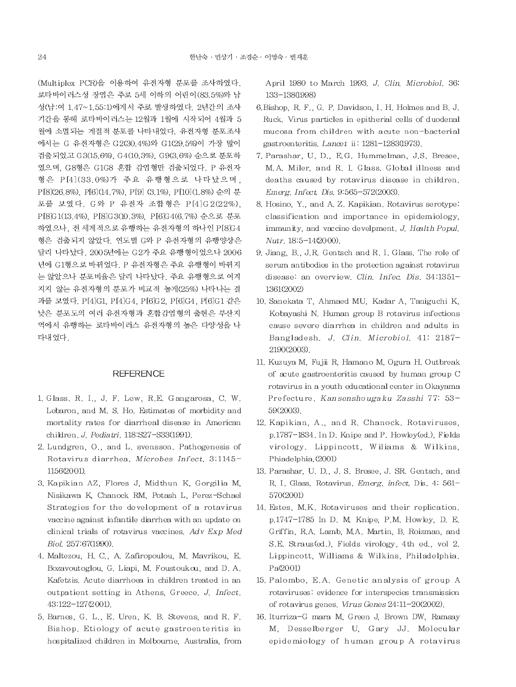(Multiplex PCR)을 이용하여 유전자형 분포를 조사하였다. 로타바이러스성 장염은 주로 5세 이하의 어린이 (83.5%)와 남 성(남:여 1.47~1.55:1)에게서 주로 발생하였다. 2년간의 조사 기간을 통해 로타바이러스는 12월과 1월에 시작되어 4월과 5 월에 소멸되는 계절적 분포를 나타내었다. 유전자형 분포조사 에서는 G 유전자형은 G2(30.4%)와 G1(29.5%)이 가장 많이 검출되었고 G3(15.6%), G4(10.3%), G9(3.6%) 순으로 분포하 였으며, G8형은 G1G8 혼합 감염형만 검출되었다. P 유전자 형은 P[4](33.0%)가 주요 유행형으로 나타났으며, P[8](26.8%) P[6](14.7%) P[9] (3.1%) P[10](1.8%) 순의 분 포를 보였다. G와 P 유전자 조합형은 P [4] G 2 (22%), P[8]G1(13.4%), P[8]G3(10.3%), P[6]G4(6.7%) 순으로 분포 하였으나, 전 세계적으로 유행하는 유전자형의 하나인 P[8]G4 형은 검출되지 않았다. 연도별 G와 P 유전자형의 유행양상은 달리 나타났다. 2005년에는 G2가 주요 유행형이었으나 2006 년에 G1형으로 바뀌었다. P 유전자형은 주요 유행형이 바뀌지 는 않았으나 분포비율은 달리 나타났다. 주요 유행형으로 여겨 지지 않는 유전자형의 분포가 비교적 높게(25%) 나타나는 결 과를 보였다. P[4]G1, P[4]G4, P[6]G2, P[6]G4, P[6]G1 같은 낮은 분포도의 여러 유전자형과 혼합감염형의 출현은 부산지 역에서 유행하는 로타바이러스 유전자형의 높은 다양성을 나 타내었다.

### **REFERENCE**

- 1 Glass, R. I. J. F. Lew, R.E. Gangarosa, C. W. Lebaron, and M. S. Ho. Estimates of morbidity and mortality rates for diarrheal disease in American children. J. Pediatri. 118:S27-S33(1991).
- 2. Lundgren, O., and L. svensson. Pathogenesis of Rotavirus diarrhea. Microbes Infect. 3:1145-1156(2001).
- 3. Kapikian AZ, Flores J, Midthun K, Gorgilia M, Nisikawa K, Chanock RM, Potash L, Perez-Schael Strategies for the development of a rotavirus vaccine against infantile diarrhea with an update on clinical trials of rotavirus vaccines. Adv Exp Med Biol 257:67(1990).
- 4. Maltezou, H. C., A. Zafiropoulou, M. Mavrikou, E. Bozavoutoglou, G. Liapi, M. Foustoukou, and D. A. Kafetzis. Acute diarrhoea in children treated in an outpatient setting in Athens, Greece, J. Infect, 43:122-127(2001).
- 5. Barnes, G. L., E. Uren, K. B. Stevens, and R. F. Bishop. Etiology of acute gastroenteritis in hospitalized children in Melbourne, Australia, from

April 1980 to March 1993. J. Clin. Microbiol. 36: 133-138(1998)

- 6. Bishop, R. F., G. P. Davidson, I. H. Holmes and B. J. Ruck. Virus particles in epitherial cells of duodenal mucosa from children with acute non-bacterial gastroenteritis. Lancet ii: 1281-1283(1973).
- 7. Parashar, U. D., E.G. Hummelman, J.S. Bresee, M.A. Miler, and R. I. Glass. Global illness and deaths caused by rotavirus disease in children. Emerg. Infect. Dis. 9:565-572(2003).
- 8. Hosino, Y., and A. Z. Kapikian. Rotavirus serotype: classification and importance in epidemiology, immunity, and vaccine develpment, J. Health Popul. Nutr. 18:5-14(2000).
- 9. Jiang, B., J.R. Gentsch and R. I. Glass. The role of serum antibodies in the protection against rotavirus disease: an overview. Clin. Infec. Dis. 34:1351-1361(2002)
- 10. Sanekata T. Ahmaed MU. Kadar A. Taniguchi K. Kobayashi N. Human group B rotavirus infections cause severe diarrhea in children and adults in Bangladesh, J. Clin. Microbiol. 41: 2187-2190(2003).
- 11. Kuzuya M, Fujii R, Hamano M, Ogura H. Outbreak of acute gastroenteritis caused by human group C rotavirus in a youth educational center in Okayama Prefecture, Kansenshougaku Zasshi 77: 53-59(2003).
- 12. Kapikian, A., and R. Chanock. Rotaviruses, p.1787-1834. In D. Knipe and P. Howley(ed.), Fields virology. Lippincott, Wiliams & Wilkins, Phiadelphia.(2001)
- 13. Parashar, U. D., J. S. Bresee, J. SR. Gentsch, and R. I. Glass, Rotavirus, Emerg. infect. Dis. 4: 561-570(2001)
- 14. Estes, M.K. Rotaviruses and their replication. p.1747-1785 In D. M. Knipe, P.M. Howley, D. E. Griffin, R.A. Lamb, M.A. Martin, B. Roizman, and S.E. Straus(ed.), Fields virology, 4th ed., vol 2. Lippincott, Williams & Wilkins, Philadelphia. Pa(2001)
- 15. Palombo, E.A. Genetic analysis of group A rotaviruses: evidence for interspecies transmission of rotavirus genes. Virus Genes 24:11-20(2002).
- 16. Iturriza-G mara M, Green J, Brown DW, Ramsay M, Desselberger U, Gary JJ. Molecular epidemiology of human group A rotavirus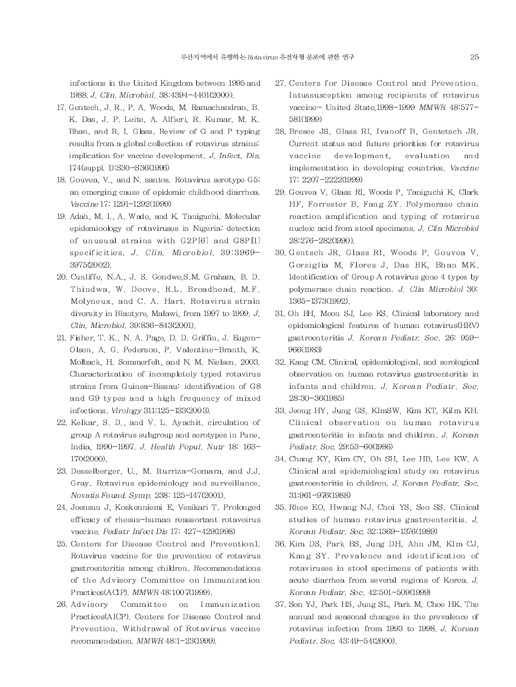infections in the United Kingdom between 1995 and 1988. J. Clin. Microbiol. 38:4394-4401(2000).

- 17. Gentech, J. R., P. A. Woods, M. Ramachandran, B. K. Das, J. P. Leite, A. Alfieri, R. Kumar, M. K. Bhan, and R. I. Glass. Review of G and P typing results from a global collection of rotavirus strains: implication for vaccine development. J. Infect. Dis. 174(suppl. 1):S30-S36(1996)
- 18. Gouvea, V., and N. santos. Rotavirus serotype G5: an emerging cause of epidemic childhood diarrhea. Vaccine 17: 1291-1292(1999)
- 19. Adah, M. I., A. Wade, and K. Taniguchi. Molecular epidemioology of rotaviruses in Nigeria: detection of unusual strains with G2P[6] and G8P[1] specificities. J. Clin. Microbiol. 39:3969-3975(2002).
- 20. Cunliffe, N.A., J. S. Gondwe, S.M. Graham, B.D. Thindwa, W. Doove, R.L. Broadhead, M.F. Molyneux, and C. A. Hart. Rotavirus strain diversity in Blantyre, Malawi, from 1997 to 1999. J. Clin. Microbiol. 39:836-843(2001).
- 21. Fisher, T. K., N. A. Page, D. D. Griffin, J. Eugen-Olsen, A. G. Pederson, P. Valentine-Branth, K. Molback, H. Sommerfelt, and N. M. Nielsen. 2003. Characterization of incompletely typed rotavirus strains from Guinea-Bissau: identifivation of G8 and G9 types and a high frequency of mixed infections. Virology 311:125-133(2003).
- 22. Kelkar, S. D., and V. L. Ayachit. circulation of group A rotavirus subgroup and serotypes in Pune, India, 1990-1997, J. Health Popul, Nutr 18: 163-170(2000).
- 23. Desselberger, U., M. Iturriza-Gomara, and J.J. Gray. Rotavirus epidemiology and surveillance. Novatis Found. Symp. 238: 125-147(2001).
- 24. Joensuu J, Koskenniemi E, Vesikari T. Prolonged efficacy of rhesus-human reassortant rotavoirus vaccine. Pediatr Infect Dis 17: 427-429(1998)
- 25. Centers for Disease Control and Prevention1. Rotavirus vaccine for the prevention of rotavirus gastroenteritis among children. Recommendations of the Advisory Committee on Immunization Practices(ACIP), MMWR 48:1007(1999),
- 26. Advisory Committee on Immunization Practices(AICP). Centers for Disease Control and Prevention. Withdrawal of Rotavirus vaccine recommendation. MMWR 48:1-23(1999).
- 27. Centers for Disease Control and Prevention. Intussusception among recipients of rotavirus vaccine- United State, 1998-1999 MMWR 48:577-581(1999)
- 28. Bresee JS, Glass RI, Ivanoff B, Gentetsch JR. Current status and future priorities for rotavirus vaccine development. evaluation and implementation in developing countries. Vaccine 17: 2207-2222(1999)
- 29. Gouvea V. Glass RI, Woods P. Taniguchi K. Clark HF. Forrester B. Fang ZY. Polymerase chain reaction amplification and typing of rotavirus nucleic acid from stool specimens. J. Clin Microbiol 28:276-282(1990).
- 30 Gentsch JR, Glass RI, Woods P, Gouvea V, Gorziglia M. Flores J. Das BK. Bhan MK. Identification of Group A rotavirus gene 4 types by polymerase chain reaction. J. Clin Microbiol 30: 1365-1373(1992).
- 31. Oh BH, Moon SJ, Lee KS. Clinical laboratory and epidemiological features of human rotavirus(HRV) gastroenteritis J. Korean Pediatr. Soc. 26: 959-966(1983)
- 32. Kang CM. Clinical, epidemiological, and serological observation on human rotavirus gastroenteritis in infants and children. J. Korean Pediatr. Soc.  $28:30-36(1985)$
- 33. Jeong HY, Jung GS, KImSW, Kim KT, Kilm KH. Clinical observation on human rotavirus gastroenteritis in infants and children. J. Korean Pediatr. Soc. 29:53-60(1986)
- 34. Chang KY, Kim CY, Oh SH, Lee HB, Lee KW. A Clinical and epidemiological study on rotavirus gastroenteritis in children. J. Korean Pediatr. Soc. 31:961-976(1988)
- 35. Rhee EO, Hwang NJ, Choi YS, Seo SS. Clinical studies of human rotavirus gastroenteritis. J. Korean Pediatr. Soc. 32:1369-1376(1989)
- 36. Kim DS, Park BS, Jung DH, Ahn JM, KIm CJ, Kang SY. Prevalence and identification of rotaviruses in stool specimens of patients with acute diarrhea from several regions of Korea, J. Korean Pediatr. Soc. 42:501-509(1999)
- 37. Son YJ, Park HS, Jung SL, Park M, Choe HK. The annual and seasonal changes in the prevalence of rotavirus infection from 1993 to 1998. J. Korean Pediatr. Soc. 43:49-54(2000).